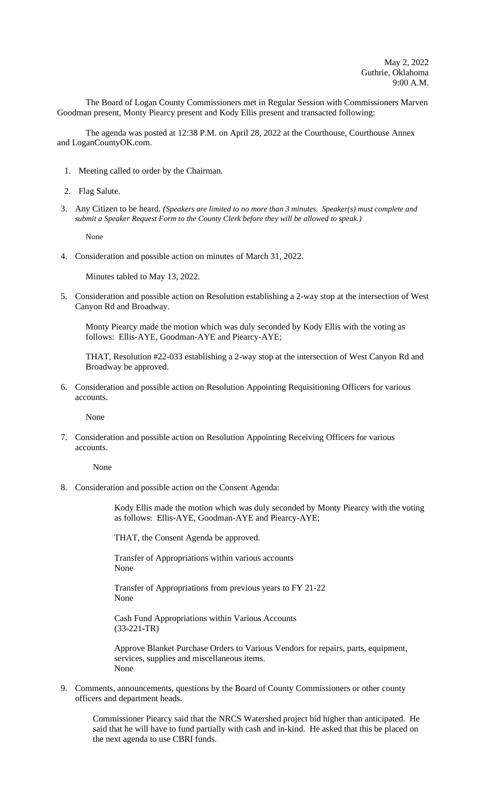The Board of Logan County Commissioners met in Regular Session with Commissioners Marven Goodman present, Monty Piearcy present and Kody Ellis present and transacted following:

The agenda was posted at 12:38 P.M. on April 28, 2022 at the Courthouse, Courthouse Annex and LoganCountyOK.com.

- 1. Meeting called to order by the Chairman.
- 2. Flag Salute.
- 3. Any Citizen to be heard. *(Speakers are limited to no more than 3 minutes. Speaker(s) must complete and submit a Speaker Request Form to the County Clerk before they will be allowed to speak.)*

None

4. Consideration and possible action on minutes of March 31, 2022.

Minutes tabled to May 13, 2022.

5. Consideration and possible action on Resolution establishing a 2-way stop at the intersection of West Canyon Rd and Broadway.

Monty Piearcy made the motion which was duly seconded by Kody Ellis with the voting as follows: Ellis-AYE, Goodman-AYE and Piearcy-AYE;

THAT, Resolution #22-033 establishing a 2-way stop at the intersection of West Canyon Rd and Broadway be approved.

6. Consideration and possible action on Resolution Appointing Requisitioning Officers for various accounts.

None

7. Consideration and possible action on Resolution Appointing Receiving Officers for various accounts.

None

8. Consideration and possible action on the Consent Agenda:

Kody Ellis made the motion which was duly seconded by Monty Piearcy with the voting as follows: Ellis-AYE, Goodman-AYE and Piearcy-AYE;

THAT, the Consent Agenda be approved.

Transfer of Appropriations within various accounts None

Transfer of Appropriations from previous years to FY 21-22 None

Cash Fund Appropriations within Various Accounts (33-221-TR)

Approve Blanket Purchase Orders to Various Vendors for repairs, parts, equipment, services, supplies and miscellaneous items. None

9. Comments, announcements, questions by the Board of County Commissioners or other county officers and department heads.

Commissioner Piearcy said that the NRCS Watershed project bid higher than anticipated. He said that he will have to fund partially with cash and in-kind. He asked that this be placed on the next agenda to use CBRI funds.